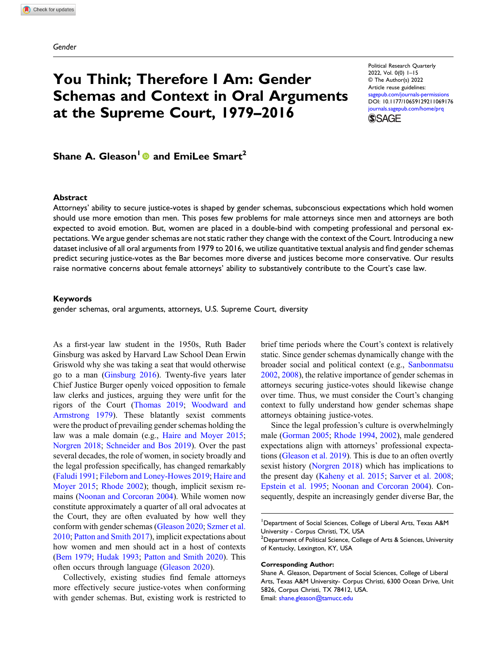Gender

# You Think; Therefore I Am: Gender Schemas and Context in Oral Arguments at the Supreme Court, 1979–2016

Political Research Quarterly 2022, Vol. 0(0) 1–15 © The Author(s) 2022 Article reuse guidelines: [sagepub.com/journals-permissions](https://us.sagepub.com/en-us/journals-permissions) DOI: [10.1177/10659129211069176](https://doi.org/10.1177/10659129211069176) [journals.sagepub.com/home/prq](https://journals.sagepub.com/home/prq) **SSAGE** 

Shane A. Gleason<sup>1</sup> and EmiLee Smart<sup>2</sup>

#### Abstract

Attorneys' ability to secure justice-votes is shaped by gender schemas, subconscious expectations which hold women should use more emotion than men. This poses few problems for male attorneys since men and attorneys are both expected to avoid emotion. But, women are placed in a double-bind with competing professional and personal expectations. We argue gender schemas are not static rather they change with the context of the Court. Introducing a new dataset inclusive of all oral arguments from 1979 to 2016, we utilize quantitative textual analysis and find gender schemas predict securing justice-votes as the Bar becomes more diverse and justices become more conservative. Our results raise normative concerns about female attorneys' ability to substantively contribute to the Court's case law.

#### Keywords

gender schemas, oral arguments, attorneys, U.S. Supreme Court, diversity

As a first-year law student in the 1950s, Ruth Bader Ginsburg was asked by Harvard Law School Dean Erwin Griswold why she was taking a seat that would otherwise go to a man [\(Ginsburg 2016\)](#page-12-0). Twenty-five years later Chief Justice Burger openly voiced opposition to female law clerks and justices, arguing they were unfit for the rigors of the Court ([Thomas 2019](#page-14-0); [Woodward and](#page-14-1) [Armstrong 1979](#page-14-1)). These blatantly sexist comments were the product of prevailing gender schemas holding the law was a male domain (e.g., [Haire and Moyer 2015](#page-12-1); [Norgren 2018](#page-13-0); [Schneider and Bos 2019\)](#page-13-1). Over the past several decades, the role of women, in society broadly and the legal profession specifically, has changed remarkably ([Faludi 1991](#page-11-0); [Fileborn and Loney-Howes 2019](#page-11-1); [Haire and](#page-12-1) [Moyer 2015](#page-12-1); [Rhode 2002](#page-13-2)); though, implicit sexism remains ([Noonan and Corcoran 2004](#page-13-3)). While women now constitute approximately a quarter of all oral advocates at the Court, they are often evaluated by how well they conform with gender schemas [\(Gleason 2020;](#page-12-2) [Szmer et al.](#page-14-2) [2010;](#page-14-2) [Patton and Smith 2017](#page-13-4)), implicit expectations about how women and men should act in a host of contexts ([Bem 1979](#page-11-2); [Hudak 1993;](#page-12-3) [Patton and Smith 2020](#page-13-5)). This often occurs through language ([Gleason 2020\)](#page-12-2).

Collectively, existing studies find female attorneys more effectively secure justice-votes when conforming with gender schemas. But, existing work is restricted to

brief time periods where the Court's context is relatively static. Since gender schemas dynamically change with the broader social and political context (e.g., [Sanbonmatsu](#page-13-6) [2002,](#page-13-6) [2008](#page-13-7)), the relative importance of gender schemas in attorneys securing justice-votes should likewise change over time. Thus, we must consider the Court's changing context to fully understand how gender schemas shape attorneys obtaining justice-votes.

Since the legal profession's culture is overwhelmingly male [\(Gorman 2005](#page-12-4); [Rhode 1994,](#page-13-8) [2002](#page-13-2)), male gendered expectations align with attorneys' professional expectations ([Gleason et al. 2019\)](#page-12-5). This is due to an often overtly sexist history ([Norgren 2018](#page-13-0)) which has implications to the present day [\(Kaheny et al. 2015;](#page-12-6) [Sarver et al. 2008](#page-13-9); [Epstein et al. 1995](#page-11-3); [Noonan and Corcoran 2004\)](#page-13-3). Consequently, despite an increasingly gender diverse Bar, the

<sup>1</sup>Department of Social Sciences, College of Liberal Arts, Texas A&M University - Corpus Christi, TX, USA

#### Corresponding Author:

 $^2$ Department of Political Science, College of Arts & Sciences, University of Kentucky, Lexington, KY, USA

Shane A. Gleason, Department of Social Sciences, College of Liberal Arts, Texas A&M University- Corpus Christi, 6300 Ocean Drive, Unit 5826, Corpus Christi, TX 78412, USA. Email: [shane.gleason@tamucc.edu](mailto:shane.gleason@tamucc.edu)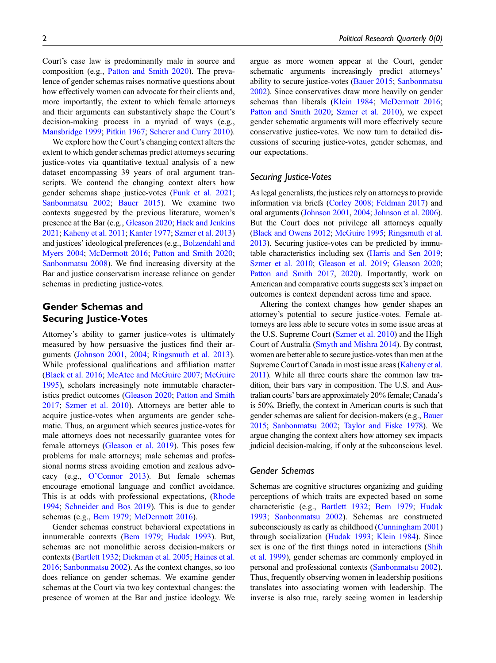Court's case law is predominantly male in source and composition (e.g., [Patton and Smith 2020\)](#page-13-5). The prevalence of gender schemas raises normative questions about how effectively women can advocate for their clients and, more importantly, the extent to which female attorneys and their arguments can substantively shape the Court's decision-making process in a myriad of ways (e.g., [Mansbridge 1999;](#page-13-10) [Pitkin 1967](#page-13-11); [Scherer and Curry 2010](#page-13-12)).

We explore how the Court's changing context alters the extent to which gender schemas predict attorneys securing justice-votes via quantitative textual analysis of a new dataset encompassing 39 years of oral argument transcripts. We contend the changing context alters how gender schemas shape justice-votes ([Funk et al. 2021](#page-11-4); [Sanbonmatsu 2002](#page-13-6); [Bauer 2015\)](#page-11-5). We examine two contexts suggested by the previous literature, women's presence at the Bar (e.g., [Gleason 2020](#page-12-2); [Hack and Jenkins](#page-12-7) [2021;](#page-12-7) [Kaheny et al. 2011;](#page-12-8) [Kanter 1977](#page-12-9); [Szmer et al. 2013\)](#page-14-3) and justices' ideological preferences (e.g., [Bolzendahl and](#page-11-6) [Myers 2004;](#page-11-6) [McDermott 2016;](#page-13-13) [Patton and Smith 2020](#page-13-5); [Sanbonmatsu 2008](#page-13-7)). We find increasing diversity at the Bar and justice conservatism increase reliance on gender schemas in predicting justice-votes.

# Gender Schemas and Securing Justice-Votes

Attorney's ability to garner justice-votes is ultimately measured by how persuasive the justices find their arguments ([Johnson 2001](#page-12-10), [2004](#page-12-11); [Ringsmuth et al. 2013](#page-13-14)). While professional qualifications and affiliation matter [\(Black et al. 2016;](#page-11-7) [McAtee and McGuire 2007](#page-13-15); [McGuire](#page-13-16) [1995\)](#page-13-16), scholars increasingly note immutable characteristics predict outcomes [\(Gleason 2020;](#page-12-2) [Patton and Smith](#page-13-4) [2017;](#page-13-4) [Szmer et al. 2010\)](#page-14-2). Attorneys are better able to acquire justice-votes when arguments are gender schematic. Thus, an argument which secures justice-votes for male attorneys does not necessarily guarantee votes for female attorneys [\(Gleason et al. 2019](#page-12-5)). This poses few problems for male attorneys; male schemas and professional norms stress avoiding emotion and zealous advocacy (e.g., O'[Connor 2013\)](#page-13-17). But female schemas encourage emotional language and conflict avoidance. This is at odds with professional expectations, [\(Rhode](#page-13-8) [1994;](#page-13-8) [Schneider and Bos 2019](#page-13-1)). This is due to gender schemas (e.g., [Bem 1979](#page-11-2); [McDermott 2016\)](#page-13-13).

Gender schemas construct behavioral expectations in innumerable contexts ([Bem 1979;](#page-11-2) [Hudak 1993](#page-12-3)). But, schemas are not monolithic across decision-makers or contexts [\(Bartlett 1932;](#page-11-8) [Diekman et al. 2005;](#page-11-9) [Haines et al.](#page-12-12) [2016;](#page-12-12) [Sanbonmatsu 2002](#page-13-6)). As the context changes, so too does reliance on gender schemas. We examine gender schemas at the Court via two key contextual changes: the presence of women at the Bar and justice ideology. We argue as more women appear at the Court, gender schematic arguments increasingly predict attorneys' ability to secure justice-votes [\(Bauer 2015](#page-11-5); [Sanbonmatsu](#page-13-6) [2002](#page-13-6)). Since conservatives draw more heavily on gender schemas than liberals [\(Klein 1984](#page-13-18); [McDermott 2016;](#page-13-13) [Patton and Smith 2020](#page-13-5); [Szmer et al. 2010](#page-14-2)), we expect gender schematic arguments will more effectively secure conservative justice-votes. We now turn to detailed discussions of securing justice-votes, gender schemas, and our expectations.

## Securing Justice-Votes

As legal generalists, the justices rely on attorneys to provide information via briefs [\(Corley 2008; Feldman 2017](#page-11-10)) and oral arguments [\(Johnson 2001](#page-12-10), [2004;](#page-12-11) [Johnson et al. 2006\)](#page-12-13). But the Court does not privilege all attorneys equally [\(Black and Owens 2012;](#page-11-11) [McGuire 1995](#page-13-16); [Ringsmuth et al.](#page-13-14) [2013\)](#page-13-14). Securing justice-votes can be predicted by immutable characteristics including sex [\(Harris and Sen 2019;](#page-12-14) [Szmer et al. 2010;](#page-14-2) [Gleason et al. 2019;](#page-12-5) [Gleason 2020;](#page-12-2) [Patton and Smith 2017](#page-13-4), [2020\)](#page-13-5). Importantly, work on American and comparative courts suggests sex's impact on outcomes is context dependent across time and space.

Altering the context changes how gender shapes an attorney's potential to secure justice-votes. Female attorneys are less able to secure votes in some issue areas at the U.S. Supreme Court ([Szmer et al. 2010](#page-14-2)) and the High Court of Australia [\(Smyth and Mishra 2014\)](#page-13-19). By contrast, women are better able to secure justice-votes than men at the Supreme Court of Canada in most issue areas [\(Kaheny et al.](#page-12-8) [2011](#page-12-8)). While all three courts share the common law tradition, their bars vary in composition. The U.S. and Australian courts' bars are approximately 20% female; Canada's is 50%. Briefly, the context in American courts is such that gender schemas are salient for decision-makers (e.g., [Bauer](#page-11-5) [2015](#page-11-5); [Sanbonmatsu 2002](#page-13-6); [Taylor and Fiske 1978](#page-14-4)). We argue changing the context alters how attorney sex impacts judicial decision-making, if only at the subconscious level.

# Gender Schemas

Schemas are cognitive structures organizing and guiding perceptions of which traits are expected based on some characteristic (e.g., [Bartlett 1932](#page-11-8); [Bem 1979](#page-11-2); [Hudak](#page-12-3) [1993](#page-12-3); [Sanbonmatsu 2002](#page-13-6)). Schemas are constructed subconsciously as early as childhood ([Cunningham 2001](#page-11-12)) through socialization [\(Hudak 1993;](#page-12-3) [Klein 1984\)](#page-13-18). Since sex is one of the first things noted in interactions [\(Shih](#page-13-20) [et al. 1999](#page-13-20)), gender schemas are commonly employed in personal and professional contexts ([Sanbonmatsu 2002\)](#page-13-6). Thus, frequently observing women in leadership positions translates into associating women with leadership. The inverse is also true, rarely seeing women in leadership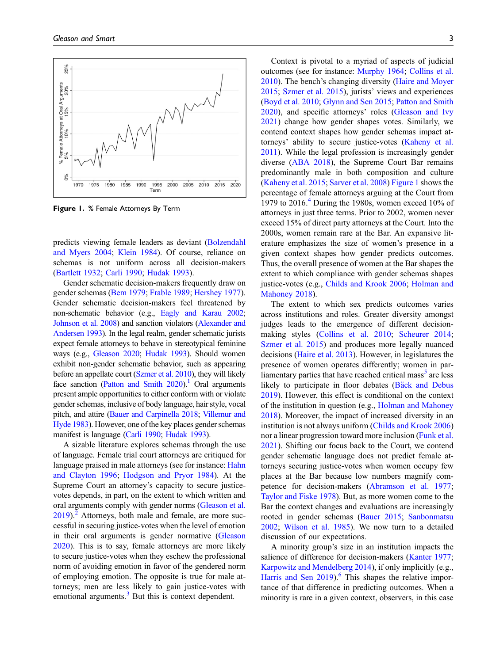

<span id="page-2-0"></span>Figure 1. % Female Attorneys By Term

predicts viewing female leaders as deviant ([Bolzendahl](#page-11-6) [and Myers 2004;](#page-11-6) [Klein 1984\)](#page-13-18). Of course, reliance on schemas is not uniform across all decision-makers ([Bartlett 1932;](#page-11-8) [Carli 1990;](#page-11-13) [Hudak 1993](#page-12-3)).

Gender schematic decision-makers frequently draw on gender schemas ([Bem 1979;](#page-11-2) [Frable 1989](#page-11-14); [Hershey 1977](#page-12-15)). Gender schematic decision-makers feel threatened by non-schematic behavior (e.g., [Eagly and Karau 2002](#page-11-15); [Johnson et al. 2008\)](#page-12-16) and sanction violators ([Alexander and](#page-10-0) [Andersen 1993\)](#page-10-0). In the legal realm, gender schematic jurists expect female attorneys to behave in stereotypical feminine ways (e.g., [Gleason 2020;](#page-12-2) [Hudak 1993](#page-12-3)). Should women exhibit non-gender schematic behavior, such as appearing before an appellate court [\(Szmer et al. 2010\)](#page-14-2), they will likely face sanction (Patton and Smith  $2020$ ).<sup>1</sup> Oral arguments present ample opportunities to either conform with or violate gender schemas, inclusive of body language, hair style, vocal pitch, and attire [\(Bauer and Carpinella 2018;](#page-11-16) [Villemur and](#page-14-5) [Hyde 1983\)](#page-14-5). However, one of the key places gender schemas manifest is language [\(Carli 1990;](#page-11-13) [Hudak 1993](#page-12-3)).

A sizable literature explores schemas through the use of language. Female trial court attorneys are critiqued for language praised in male attorneys (see for instance: [Hahn](#page-12-17) [and Clayton 1996](#page-12-17); [Hodgson and Pryor 1984\)](#page-12-18). At the Supreme Court an attorney's capacity to secure justicevotes depends, in part, on the extent to which written and oral arguments comply with gender norms ([Gleason et al.](#page-12-5)  $2019$  $2019$ .<sup>2</sup> Attorneys, both male and female, are more successful in securing justice-votes when the level of emotion in their oral arguments is gender normative [\(Gleason](#page-12-2) [2020\)](#page-12-2). This is to say, female attorneys are more likely to secure justice-votes when they eschew the professional norm of avoiding emotion in favor of the gendered norm of employing emotion. The opposite is true for male attorneys; men are less likely to gain justice-votes with emotional arguments.<sup>3</sup> But this is context dependent.

Context is pivotal to a myriad of aspects of judicial outcomes (see for instance: [Murphy 1964;](#page-13-21) [Collins et al.](#page-11-17) [2010\)](#page-11-17). The bench's changing diversity ([Haire and Moyer](#page-12-1) [2015;](#page-12-1) [Szmer et al. 2015](#page-14-6)), jurists' views and experiences [\(Boyd et al. 2010](#page-11-18); [Glynn and Sen 2015](#page-12-19); [Patton and Smith](#page-13-5) [2020\)](#page-13-5), and specific attorneys' roles ([Gleason and Ivy](#page-12-20) [2021\)](#page-12-20) change how gender shapes votes. Similarly, we contend context shapes how gender schemas impact at-torneys' ability to secure justice-votes [\(Kaheny et al.](#page-12-8) [2011\)](#page-12-8). While the legal profession is increasingly gender diverse [\(ABA 2018](#page-10-4)), the Supreme Court Bar remains predominantly male in both composition and culture [\(Kaheny et al. 2015](#page-12-6); [Sarver et al. 2008\)](#page-13-9) [Figure 1](#page-2-0) shows the percentage of female attorneys arguing at the Court from 1979 to  $2016<sup>4</sup>$  $2016<sup>4</sup>$  $2016<sup>4</sup>$  During the 1980s, women exceed 10% of attorneys in just three terms. Prior to 2002, women never exceed 15% of direct party attorneys at the Court. Into the 2000s, women remain rare at the Bar. An expansive literature emphasizes the size of women's presence in a given context shapes how gender predicts outcomes. Thus, the overall presence of women at the Bar shapes the extent to which compliance with gender schemas shapes justice-votes (e.g., [Childs and Krook 2006;](#page-11-19) [Holman and](#page-12-21) [Mahoney 2018\)](#page-12-21).

The extent to which sex predicts outcomes varies across institutions and roles. Greater diversity amongst judges leads to the emergence of different decisionmaking styles [\(Collins et al. 2010](#page-11-17); [Scheurer 2014](#page-13-22); [Szmer et al. 2015\)](#page-14-6) and produces more legally nuanced decisions [\(Haire et al. 2013](#page-12-22)). However, in legislatures the presence of women operates differently; women in parliamentary parties that have reached critical mass<sup>3</sup> are less likely to participate in floor debates (Bäck and Debus [2019\)](#page-10-7). However, this effect is conditional on the context of the institution in question (e.g., [Holman and Mahoney](#page-12-21) [2018\)](#page-12-21). Moreover, the impact of increased diversity in an institution is not always uniform ([Childs and Krook 2006\)](#page-11-19) nor a linear progression toward more inclusion [\(Funk et al.](#page-11-4) [2021\)](#page-11-4). Shifting our focus back to the Court, we contend gender schematic language does not predict female attorneys securing justice-votes when women occupy few places at the Bar because low numbers magnify competence for decision-makers ([Abramson et al. 1977](#page-10-8); [Taylor and Fiske 1978\)](#page-14-4). But, as more women come to the Bar the context changes and evaluations are increasingly rooted in gender schemas [\(Bauer 2015;](#page-11-5) [Sanbonmatsu](#page-13-6) [2002;](#page-13-6) [Wilson et al. 1985](#page-14-7)). We now turn to a detailed discussion of our expectations.

A minority group's size in an institution impacts the salience of difference for decision-makers [\(Kanter 1977](#page-12-9); [Karpowitz and Mendelberg 2014](#page-12-23)), if only implicitly (e.g., Harris and Sen  $2019$ . <sup>6</sup> This shapes the relative importance of that difference in predicting outcomes. When a minority is rare in a given context, observers, in this case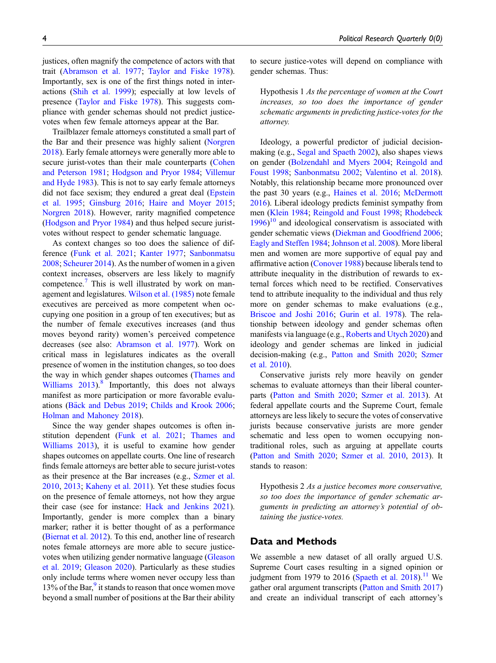justices, often magnify the competence of actors with that trait ([Abramson et al. 1977](#page-10-8); [Taylor and Fiske 1978](#page-14-4)). Importantly, sex is one of the first things noted in interactions ([Shih et al. 1999\)](#page-13-20); especially at low levels of presence [\(Taylor and Fiske 1978\)](#page-14-4). This suggests compliance with gender schemas should not predict justicevotes when few female attorneys appear at the Bar.

Trailblazer female attorneys constituted a small part of the Bar and their presence was highly salient [\(Norgren](#page-13-0) [2018\)](#page-13-0). Early female attorneys were generally more able to secure jurist-votes than their male counterparts [\(Cohen](#page-11-20) [and Peterson 1981;](#page-11-20) [Hodgson and Pryor 1984;](#page-12-18) [Villemur](#page-14-5) [and Hyde 1983\)](#page-14-5). This is not to say early female attorneys did not face sexism; they endured a great deal ([Epstein](#page-11-3) [et al. 1995](#page-11-3); [Ginsburg 2016;](#page-12-0) [Haire and Moyer 2015](#page-12-1); [Norgren 2018](#page-13-0)). However, rarity magnified competence [\(Hodgson and Pryor 1984\)](#page-12-18) and thus helped secure juristvotes without respect to gender schematic language.

As context changes so too does the salience of difference ([Funk et al. 2021;](#page-11-4) [Kanter 1977](#page-12-9); [Sanbonmatsu](#page-13-7) [2008;](#page-13-7) [Scheurer 2014](#page-13-22)). As the number of women in a given context increases, observers are less likely to magnify competence.<sup>[7](#page-10-10)</sup> This is well illustrated by work on management and legislatures. [Wilson et al. \(1985\)](#page-14-7) note female executives are perceived as more competent when occupying one position in a group of ten executives; but as the number of female executives increases (and thus moves beyond rarity) women's perceived competence decreases (see also: [Abramson et al. 1977\)](#page-10-8). Work on critical mass in legislatures indicates as the overall presence of women in the institution changes, so too does the way in which gender shapes outcomes [\(Thames and](#page-14-8) Williams  $2013$ .<sup>[8](#page-10-11)</sup> Importantly, this does not always manifest as more participation or more favorable evalu-ations ([B](#page-10-7)ä[ck and Debus 2019](#page-10-7); [Childs and Krook 2006](#page-11-19); [Holman and Mahoney 2018\)](#page-12-21).

Since the way gender shapes outcomes is often institution dependent [\(Funk et al. 2021;](#page-11-4) [Thames and](#page-14-8) [Williams 2013](#page-14-8)), it is useful to examine how gender shapes outcomes on appellate courts. One line of research finds female attorneys are better able to secure jurist-votes as their presence at the Bar increases (e.g., [Szmer et al.](#page-14-2) [2010,](#page-14-2) [2013](#page-14-3); [Kaheny et al. 2011](#page-12-8)). Yet these studies focus on the presence of female attorneys, not how they argue their case (see for instance: [Hack and Jenkins 2021](#page-12-7)). Importantly, gender is more complex than a binary marker; rather it is better thought of as a performance [\(Biernat et al. 2012\)](#page-11-21). To this end, another line of research notes female attorneys are more able to secure justicevotes when utilizing gender normative language ([Gleason](#page-12-5) [et al. 2019;](#page-12-5) [Gleason 2020\)](#page-12-2). Particularly as these studies only include terms where women never occupy less than  $13\%$  of the Bar, $\frac{9}{2}$  $\frac{9}{2}$  $\frac{9}{2}$  it stands to reason that once women move beyond a small number of positions at the Bar their ability to secure justice-votes will depend on compliance with gender schemas. Thus:

Hypothesis 1 As the percentage of women at the Court increases, so too does the importance of gender schematic arguments in predicting justice-votes for the attorney.

Ideology, a powerful predictor of judicial decisionmaking (e.g., [Segal and Spaeth 2002](#page-13-23)), also shapes views on gender [\(Bolzendahl and Myers 2004;](#page-11-6) [Reingold and](#page-13-24) [Foust 1998;](#page-13-24) [Sanbonmatsu 2002](#page-13-6); [Valentino et al. 2018\)](#page-14-9). Notably, this relationship became more pronounced over the past 30 years (e.g., [Haines et al. 2016;](#page-12-12) [McDermott](#page-13-13) [2016](#page-13-13)). Liberal ideology predicts feminist sympathy from men ([Klein 1984;](#page-13-18) [Reingold and Foust 1998;](#page-13-24) [Rhodebeck](#page-13-25) [1996](#page-13-25))<sup>[10](#page-10-13)</sup> and ideological conservatism is associated with gender schematic views [\(Diekman and Goodfriend 2006;](#page-11-22) [Eagly and Steffen 1984;](#page-11-23) [Johnson et al. 2008](#page-12-16)). More liberal men and women are more supportive of equal pay and affirmative action ([Conover 1988\)](#page-11-24) because liberals tend to attribute inequality in the distribution of rewards to external forces which need to be rectified. Conservatives tend to attribute inequality to the individual and thus rely more on gender schemas to make evaluations (e.g., [Briscoe and Joshi 2016;](#page-11-25) [Gurin et al. 1978](#page-12-24)). The relationship between ideology and gender schemas often manifests via language (e.g., [Roberts and Utych 2020\)](#page-13-26) and ideology and gender schemas are linked in judicial decision-making (e.g., [Patton and Smith 2020](#page-13-5); [Szmer](#page-14-2) [et al. 2010](#page-14-2)).

Conservative jurists rely more heavily on gender schemas to evaluate attorneys than their liberal counterparts [\(Patton and Smith 2020](#page-13-5); [Szmer et al. 2013](#page-14-3)). At federal appellate courts and the Supreme Court, female attorneys are less likely to secure the votes of conservative jurists because conservative jurists are more gender schematic and less open to women occupying nontraditional roles, such as arguing at appellate courts [\(Patton and Smith 2020;](#page-13-5) [Szmer et al. 2010,](#page-14-2) [2013\)](#page-14-3). It stands to reason:

Hypothesis 2 As a justice becomes more conservative, so too does the importance of gender schematic arguments in predicting an attorney's potential of obtaining the justice-votes.

# Data and Methods

We assemble a new dataset of all orally argued U.S. Supreme Court cases resulting in a signed opinion or judgment from 1979 to 2016 [\(Spaeth et al. 2018\)](#page-13-27).<sup>[11](#page-10-14)</sup> We gather oral argument transcripts ([Patton and Smith 2017](#page-13-4)) and create an individual transcript of each attorney's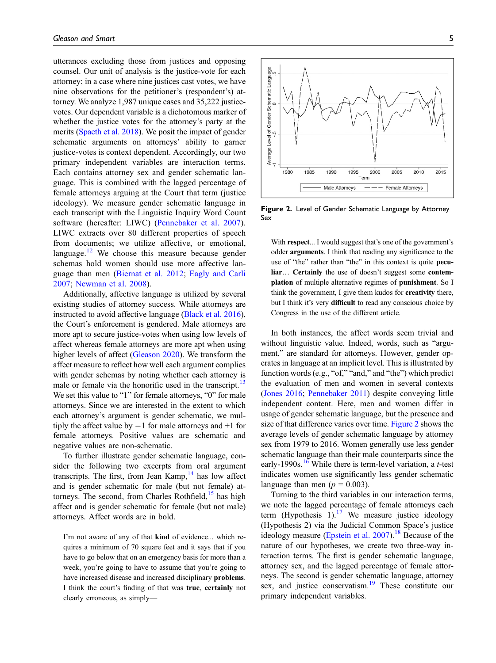utterances excluding those from justices and opposing counsel. Our unit of analysis is the justice-vote for each attorney; in a case where nine justices cast votes, we have nine observations for the petitioner's (respondent's) attorney. We analyze 1,987 unique cases and 35,222 justicevotes. Our dependent variable is a dichotomous marker of whether the justice votes for the attorney's party at the merits ([Spaeth et al. 2018\)](#page-13-27). We posit the impact of gender schematic arguments on attorneys' ability to garner justice-votes is context dependent. Accordingly, our two primary independent variables are interaction terms. Each contains attorney sex and gender schematic language. This is combined with the lagged percentage of female attorneys arguing at the Court that term (justice ideology). We measure gender schematic language in each transcript with the Linguistic Inquiry Word Count software (hereafter: LIWC) ([Pennebaker et al. 2007](#page-13-28)). LIWC extracts over 80 different properties of speech from documents; we utilize affective, or emotional, language. $12$  We choose this measure because gender schemas hold women should use more affective language than men [\(Biernat et al. 2012;](#page-11-21) [Eagly and Carli](#page-11-26) [2007](#page-11-26); [Newman et al. 2008](#page-13-29)).

Additionally, affective language is utilized by several existing studies of attorney success. While attorneys are instructed to avoid affective language [\(Black et al. 2016](#page-11-7)), the Court's enforcement is gendered. Male attorneys are more apt to secure justice-votes when using low levels of affect whereas female attorneys are more apt when using higher levels of affect ([Gleason 2020\)](#page-12-2). We transform the affect measure to reflect how well each argument complies with gender schemas by noting whether each attorney is male or female via the honorific used in the transcript.<sup>[13](#page-10-16)</sup> We set this value to "1" for female attorneys, "0" for male attorneys. Since we are interested in the extent to which each attorney's argument is gender schematic, we multiply the affect value by  $-1$  for male attorneys and  $+1$  for female attorneys. Positive values are schematic and negative values are non-schematic.

To further illustrate gender schematic language, consider the following two excerpts from oral argument transcripts. The first, from Jean Kamp, $14$  has low affect and is gender schematic for male (but not female) at-torneys. The second, from Charles Rothfield,<sup>[15](#page-10-18)</sup> has high affect and is gender schematic for female (but not male) attorneys. Affect words are in bold.

I'm not aware of any of that kind of evidence... which requires a minimum of 70 square feet and it says that if you have to go below that on an emergency basis for more than a week, you're going to have to assume that you're going to have increased disease and increased disciplinary problems. I think the court's finding of that was true, certainly not clearly erroneous, as simply—



<span id="page-4-0"></span>**Figure 2.** Level of Gender Schematic Language by Attorney Sex

With respect... I would suggest that's one of the government's odder arguments. I think that reading any significance to the use of "the" rather than "the" in this context is quite peculiar… Certainly the use of doesn't suggest some contemplation of multiple alternative regimes of punishment. So I think the government, I give them kudos for creativity there, but I think it's very **difficult** to read any conscious choice by Congress in the use of the different article.

In both instances, the affect words seem trivial and without linguistic value. Indeed, words, such as "argument," are standard for attorneys. However, gender operates in language at an implicit level. This is illustrated by function words (e.g., "of," "and," and "the") which predict the evaluation of men and women in several contexts [\(Jones 2016;](#page-12-25) [Pennebaker 2011](#page-13-30)) despite conveying little independent content. Here, men and women differ in usage of gender schematic language, but the presence and size of that difference varies over time. [Figure 2](#page-4-0) shows the average levels of gender schematic language by attorney sex from 1979 to 2016. Women generally use less gender schematic language than their male counterparts since the early-1990s.<sup>[16](#page-10-19)</sup> While there is term-level variation, a *t*-test indicates women use significantly less gender schematic language than men ( $p = 0.003$ ).

Turning to the third variables in our interaction terms, we note the lagged percentage of female attorneys each term (Hypothesis 1).<sup>[17](#page-10-20)</sup> We measure justice ideology (Hypothesis 2) via the Judicial Common Space's justice ideology measure ([Epstein et al. 2007\)](#page-11-27).<sup>[18](#page-10-21)</sup> Because of the nature of our hypotheses, we create two three-way interaction terms. The first is gender schematic language, attorney sex, and the lagged percentage of female attorneys. The second is gender schematic language, attorney sex, and justice conservatism.<sup>19</sup> These constitute our primary independent variables.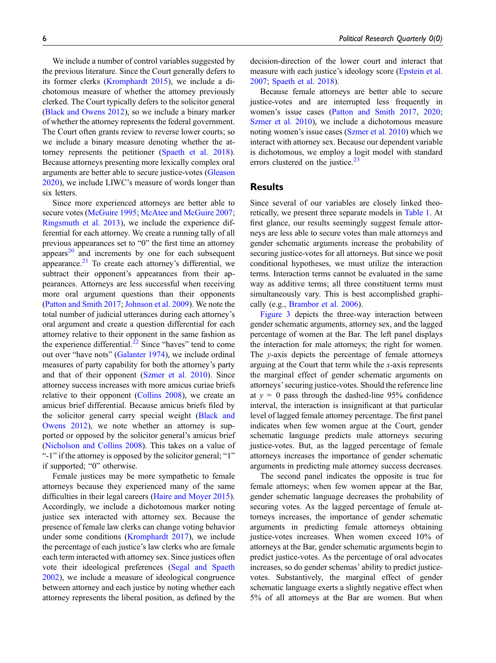We include a number of control variables suggested by the previous literature. Since the Court generally defers to its former clerks ([Kromphardt 2015](#page-13-31)), we include a dichotomous measure of whether the attorney previously clerked. The Court typically defers to the solicitor general [\(Black and Owens 2012\)](#page-11-11), so we include a binary marker of whether the attorney represents the federal government. The Court often grants review to reverse lower courts; so we include a binary measure denoting whether the attorney represents the petitioner ([Spaeth et al. 2018](#page-13-27)). Because attorneys presenting more lexically complex oral arguments are better able to secure justice-votes ([Gleason](#page-12-2) [2020\)](#page-12-2), we include LIWC's measure of words longer than six letters.

Since more experienced attorneys are better able to secure votes ([McGuire 1995](#page-13-16); [McAtee and McGuire 2007](#page-13-15); [Ringsmuth et al. 2013](#page-13-14)), we include the experience differential for each attorney. We create a running tally of all previous appearances set to "0" the first time an attorney appears $^{20}$  $^{20}$  $^{20}$  and increments by one for each subsequent appearance. $2<sup>1</sup>$  To create each attorney's differential, we subtract their opponent's appearances from their appearances. Attorneys are less successful when receiving more oral argument questions than their opponents [\(Patton and Smith 2017;](#page-13-4) [Johnson et al. 2009](#page-12-26)). We note the total number of judicial utterances during each attorney's oral argument and create a question differential for each attorney relative to their opponent in the same fashion as the experience differential. $^{22}$  $^{22}$  $^{22}$  Since "haves" tend to come out over "have nots" [\(Galanter 1974\)](#page-12-27), we include ordinal measures of party capability for both the attorney's party and that of their opponent ([Szmer et al. 2010\)](#page-14-2). Since attorney success increases with more amicus curiae briefs relative to their opponent ([Collins 2008\)](#page-11-28), we create an amicus brief differential. Because amicus briefs filed by the solicitor general carry special weight [\(Black and](#page-11-11) [Owens 2012\)](#page-11-11), we note whether an attorney is supported or opposed by the solicitor general's amicus brief [\(Nicholson and Collins 2008\)](#page-13-32). This takes on a value of "-1" if the attorney is opposed by the solicitor general; "1" if supported; "0" otherwise.

Female justices may be more sympathetic to female attorneys because they experienced many of the same difficulties in their legal careers ([Haire and Moyer 2015](#page-12-1)). Accordingly, we include a dichotomous marker noting justice sex interacted with attorney sex. Because the presence of female law clerks can change voting behavior under some conditions [\(Kromphardt 2017\)](#page-13-33), we include the percentage of each justice's law clerks who are female each term interacted with attorney sex. Since justices often vote their ideological preferences ([Segal and Spaeth](#page-13-23) [2002\)](#page-13-23), we include a measure of ideological congruence between attorney and each justice by noting whether each attorney represents the liberal position, as defined by the decision-direction of the lower court and interact that measure with each justice's ideology score ([Epstein et al.](#page-11-27) [2007](#page-11-27); [Spaeth et al. 2018\)](#page-13-27).

Because female attorneys are better able to secure justice-votes and are interrupted less frequently in women's issue cases [\(Patton and Smith 2017](#page-13-4), [2020;](#page-13-5) [Szmer et al. 2010](#page-14-2)), we include a dichotomous measure noting women's issue cases ([Szmer et al. 2010](#page-14-2)) which we interact with attorney sex. Because our dependent variable is dichotomous, we employ a logit model with standard errors clustered on the justice. $23$ 

# **Results**

Since several of our variables are closely linked theoretically, we present three separate models in [Table 1](#page-6-0). At first glance, our results seemingly suggest female attorneys are less able to secure votes than male attorneys and gender schematic arguments increase the probability of securing justice-votes for all attorneys. But since we posit conditional hypotheses, we must utilize the interaction terms. Interaction terms cannot be evaluated in the same way as additive terms; all three constituent terms must simultaneously vary. This is best accomplished graphically (e.g., [Brambor et al. 2006\)](#page-11-29).

[Figure 3](#page-7-0) depicts the three-way interaction between gender schematic arguments, attorney sex, and the lagged percentage of women at the Bar. The left panel displays the interaction for male attorneys; the right for women. The y-axis depicts the percentage of female attorneys arguing at the Court that term while the  $x$ -axis represents the marginal effect of gender schematic arguments on attorneys'securing justice-votes. Should the reference line at  $y = 0$  pass through the dashed-line 95% confidence interval, the interaction is insignificant at that particular level of lagged female attorney percentage. The first panel indicates when few women argue at the Court, gender schematic language predicts male attorneys securing justice-votes. But, as the lagged percentage of female attorneys increases the importance of gender schematic arguments in predicting male attorney success decreases.

The second panel indicates the opposite is true for female attorneys; when few women appear at the Bar, gender schematic language decreases the probability of securing votes. As the lagged percentage of female attorneys increases, the importance of gender schematic arguments in predicting female attorneys obtaining justice-votes increases. When women exceed 10% of attorneys at the Bar, gender schematic arguments begin to predict justice-votes. As the percentage of oral advocates increases, so do gender schemas' ability to predict justicevotes. Substantively, the marginal effect of gender schematic language exerts a slightly negative effect when 5% of all attorneys at the Bar are women. But when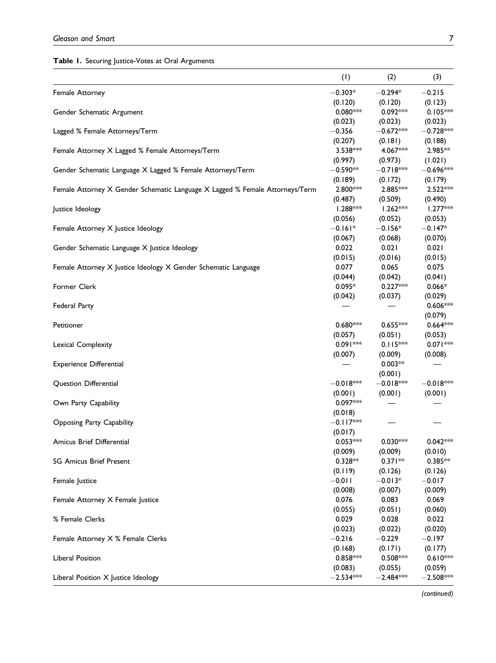# <span id="page-6-0"></span>Table 1. Securing Justice-Votes at Oral Arguments

|                                                                              | (1)         | (2)         | (3)         |
|------------------------------------------------------------------------------|-------------|-------------|-------------|
| Female Attorney                                                              | $-0.303*$   | $-0.294*$   | $-0.215$    |
|                                                                              | (0.120)     | (0.120)     | (0.123)     |
| Gender Schematic Argument                                                    | $0.080***$  | $0.092***$  | $0.105***$  |
|                                                                              | (0.023)     | (0.023)     | (0.023)     |
| Lagged % Female Attorneys/Term                                               | $-0.356$    | $-0.672***$ | $-0.728***$ |
|                                                                              | (0.207)     | (0.181)     | (0.188)     |
| Female Attorney X Lagged % Female Attorneys/Term                             | $3.538***$  | 4.067***    | 2.985**     |
|                                                                              | (0.997)     | (0.973)     | (1.021)     |
| Gender Schematic Language X Lagged % Female Attorneys/Term                   | $-0.590**$  | $-0.718***$ | $-0.696**$  |
|                                                                              | (0.189)     | (0.172)     | (0.179)     |
| Female Attorney X Gender Schematic Language X Lagged % Female Attorneys/Term | 2.800***    | 2.885 ***   | 2.522***    |
|                                                                              | (0.487)     | (0.509)     | (0.490)     |
| Justice Ideology                                                             | $1.288***$  | $1.262***$  | $1.277***$  |
|                                                                              | (0.056)     | (0.052)     | (0.053)     |
| Female Attorney X Justice Ideology                                           | $-0.161*$   | $-0.156*$   | $-0.147*$   |
|                                                                              | (0.067)     | (0.068)     | (0.070)     |
| Gender Schematic Language X Justice Ideology                                 | 0.022       | 0.021       | 0.021       |
|                                                                              | (0.015)     | (0.016)     | (0.015)     |
| Female Attorney X Justice Ideology X Gender Schematic Language               | 0.077       | 0.065       | 0.075       |
|                                                                              | (0.044)     | (0.042)     | (0.041)     |
| Former Clerk                                                                 | $0.095*$    | $0.227***$  | $0.066*$    |
|                                                                              | (0.042)     | (0.037)     | (0.029)     |
| Federal Party                                                                |             |             | 0.606***    |
|                                                                              |             |             | (0.079)     |
| Petitioner                                                                   | $0.680***$  | $0.655***$  | $0.664***$  |
|                                                                              | (0.057)     | (0.051)     | (0.053)     |
| Lexical Complexity                                                           | $0.091***$  | $0.115***$  | $0.071***$  |
|                                                                              | (0.007)     | (0.009)     | (0.008)     |
| <b>Experience Differential</b>                                               |             | $0.003**$   |             |
|                                                                              |             | (0.001)     |             |
| Question Differential                                                        | $-0.018***$ | $-0.018***$ | $-0.018***$ |
|                                                                              | (0.001)     | (0.001)     | (0.001)     |
| Own Party Capability                                                         | $0.097***$  |             |             |
|                                                                              | (0.018)     |             |             |
| Opposing Party Capability                                                    | $-0.117***$ |             |             |
|                                                                              | (0.017)     |             |             |
| Amicus Brief Differential                                                    | $0.053***$  | $0.030***$  | $0.042***$  |
|                                                                              | (0.009)     | (0.009)     | (0.010)     |
| <b>SG Amicus Brief Present</b>                                               | $0.328**$   | $0.371**$   | $0.385**$   |
|                                                                              | (0.119)     | (0.126)     | (0.126)     |
| Female Justice                                                               | $-0.011$    | $-0.013*$   | $-0.017$    |
|                                                                              | (0.008)     | (0.007)     | (0.009)     |
| Female Attorney X Female Justice                                             | 0.076       | 0.083       | 0.069       |
|                                                                              | (0.055)     | (0.051)     | (0.060)     |
| % Female Clerks                                                              | 0.029       | 0.028       | 0.022       |
|                                                                              | (0.023)     | (0.022)     | (0.020)     |
| Female Attorney X % Female Clerks                                            | $-0.216$    | $-0.229$    | $-0.197$    |
|                                                                              | (0.168)     | (0.171)     | (0.177)     |
| Liberal Position                                                             | $0.858***$  | $0.508***$  | $0.610***$  |
|                                                                              | (0.083)     | (0.055)     | (0.059)     |
| Liberal Position X Justice Ideology                                          | $-2.534***$ | $-2.484***$ | $-2.508***$ |
|                                                                              |             |             |             |

(continued)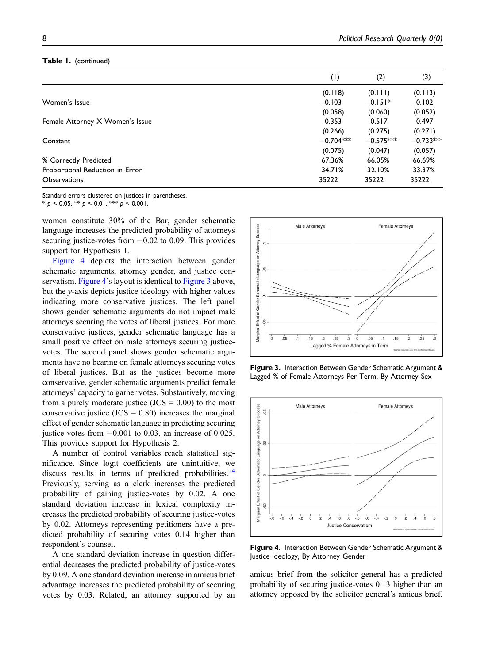## Table 1. (continued)

|                                 | (1)         | (2)         | (3)         |
|---------------------------------|-------------|-------------|-------------|
|                                 | (0.118)     | (0.111)     | (0.113)     |
| Women's Issue                   | $-0.103$    | $-0.151*$   | $-0.102$    |
|                                 | (0.058)     | (0.060)     | (0.052)     |
| Female Attorney X Women's Issue | 0.353       | 0.517       | 0.497       |
|                                 | (0.266)     | (0.275)     | (0.271)     |
| Constant                        | $-0.704***$ | $-0.575***$ | $-0.733***$ |
|                                 | (0.075)     | (0.047)     | (0.057)     |
| % Correctly Predicted           | 67.36%      | 66.05%      | 66.69%      |
| Proportional Reduction in Error | 34.71%      | 32.10%      | 33.37%      |
| <b>Observations</b>             | 35222       | 35222       | 35222       |

Standard errors clustered on justices in parentheses.  $* p < 0.05$ ,  $* p < 0.01$ ,  $* p < 0.001$ .

women constitute 30% of the Bar, gender schematic language increases the predicted probability of attorneys securing justice-votes from  $-0.02$  to 0.09. This provides support for Hypothesis 1.

[Figure 4](#page-7-1) depicts the interaction between gender schematic arguments, attorney gender, and justice con-servatism. [Figure 4](#page-7-1)'s layout is identical to [Figure 3](#page-7-0) above, but the  $y$ -axis depicts justice ideology with higher values indicating more conservative justices. The left panel shows gender schematic arguments do not impact male attorneys securing the votes of liberal justices. For more conservative justices, gender schematic language has a small positive effect on male attorneys securing justicevotes. The second panel shows gender schematic arguments have no bearing on female attorneys securing votes of liberal justices. But as the justices become more conservative, gender schematic arguments predict female attorneys' capacity to garner votes. Substantively, moving from a purely moderate justice  $(JCS = 0.00)$  to the most conservative justice  $(JCS = 0.80)$  increases the marginal effect of gender schematic language in predicting securing justice-votes from  $-0.001$  to 0.03, an increase of 0.025. This provides support for Hypothesis 2.

A number of control variables reach statistical significance. Since logit coefficients are unintuitive, we discuss results in terms of predicted probabilities. $24$ Previously, serving as a clerk increases the predicted probability of gaining justice-votes by 0.02. A one standard deviation increase in lexical complexity increases the predicted probability of securing justice-votes by 0.02. Attorneys representing petitioners have a predicted probability of securing votes 0.14 higher than respondent's counsel.

A one standard deviation increase in question differential decreases the predicted probability of justice-votes by 0.09. A one standard deviation increase in amicus brief advantage increases the predicted probability of securing votes by 0.03. Related, an attorney supported by an



<span id="page-7-0"></span>Figure 3. Interaction Between Gender Schematic Argument & Lagged % of Female Attorneys Per Term, By Attorney Sex



<span id="page-7-1"></span>Figure 4. Interaction Between Gender Schematic Argument & Justice Ideology, By Attorney Gender

amicus brief from the solicitor general has a predicted probability of securing justice-votes 0.13 higher than an attorney opposed by the solicitor general's amicus brief.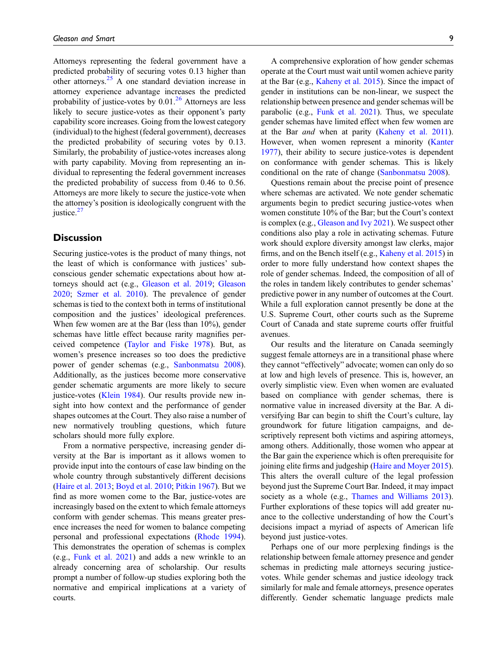Attorneys representing the federal government have a predicted probability of securing votes 0.13 higher than other attorneys. $25$  A one standard deviation increase in attorney experience advantage increases the predicted probability of justice-votes by  $0.01<sup>26</sup>$  $0.01<sup>26</sup>$  $0.01<sup>26</sup>$  Attorneys are less likely to secure justice-votes as their opponent's party capability score increases. Going from the lowest category (individual) to the highest (federal government), decreases the predicted probability of securing votes by 0.13. Similarly, the probability of justice-votes increases along with party capability. Moving from representing an individual to representing the federal government increases the predicted probability of success from 0.46 to 0.56. Attorneys are more likely to secure the justice-vote when the attorney's position is ideologically congruent with the justice. $27$ 

# **Discussion**

Securing justice-votes is the product of many things, not the least of which is conformance with justices' subconscious gender schematic expectations about how attorneys should act (e.g., [Gleason et al. 2019](#page-12-5); [Gleason](#page-12-2) [2020;](#page-12-2) [Szmer et al. 2010](#page-14-2)). The prevalence of gender schemas is tied to the context both in terms of institutional composition and the justices' ideological preferences. When few women are at the Bar (less than 10%), gender schemas have little effect because rarity magnifies perceived competence [\(Taylor and Fiske 1978](#page-14-4)). But, as women's presence increases so too does the predictive power of gender schemas (e.g., [Sanbonmatsu 2008](#page-13-7)). Additionally, as the justices become more conservative gender schematic arguments are more likely to secure justice-votes ([Klein 1984\)](#page-13-18). Our results provide new insight into how context and the performance of gender shapes outcomes at the Court. They also raise a number of new normatively troubling questions, which future scholars should more fully explore.

From a normative perspective, increasing gender diversity at the Bar is important as it allows women to provide input into the contours of case law binding on the whole country through substantively different decisions ([Haire et al. 2013;](#page-12-22) [Boyd et al. 2010](#page-11-18); [Pitkin 1967](#page-13-11)). But we find as more women come to the Bar, justice-votes are increasingly based on the extent to which female attorneys conform with gender schemas. This means greater presence increases the need for women to balance competing personal and professional expectations ([Rhode 1994](#page-13-8)). This demonstrates the operation of schemas is complex (e.g., [Funk et al. 2021\)](#page-11-4) and adds a new wrinkle to an already concerning area of scholarship. Our results prompt a number of follow-up studies exploring both the normative and empirical implications at a variety of courts.

A comprehensive exploration of how gender schemas operate at the Court must wait until women achieve parity at the Bar (e.g., [Kaheny et al. 2015\)](#page-12-6). Since the impact of gender in institutions can be non-linear, we suspect the relationship between presence and gender schemas will be parabolic (e.g., [Funk et al. 2021\)](#page-11-4). Thus, we speculate gender schemas have limited effect when few women are at the Bar *and* when at parity ([Kaheny et al. 2011](#page-12-8)). However, when women represent a minority [\(Kanter](#page-12-9) [1977\)](#page-12-9), their ability to secure justice-votes is dependent on conformance with gender schemas. This is likely conditional on the rate of change [\(Sanbonmatsu 2008](#page-13-7)).

Questions remain about the precise point of presence where schemas are activated. We note gender schematic arguments begin to predict securing justice-votes when women constitute 10% of the Bar; but the Court's context is complex (e.g., [Gleason and Ivy 2021\)](#page-12-20). We suspect other conditions also play a role in activating schemas. Future work should explore diversity amongst law clerks, major firms, and on the Bench itself (e.g., [Kaheny et al. 2015\)](#page-12-6) in order to more fully understand how context shapes the role of gender schemas. Indeed, the composition of all of the roles in tandem likely contributes to gender schemas' predictive power in any number of outcomes at the Court. While a full exploration cannot presently be done at the U.S. Supreme Court, other courts such as the Supreme Court of Canada and state supreme courts offer fruitful avenues.

Our results and the literature on Canada seemingly suggest female attorneys are in a transitional phase where they cannot "effectively" advocate; women can only do so at low and high levels of presence. This is, however, an overly simplistic view. Even when women are evaluated based on compliance with gender schemas, there is normative value in increased diversity at the Bar. A diversifying Bar can begin to shift the Court's culture, lay groundwork for future litigation campaigns, and descriptively represent both victims and aspiring attorneys, among others. Additionally, those women who appear at the Bar gain the experience which is often prerequisite for joining elite firms and judgeship [\(Haire and Moyer 2015](#page-12-1)). This alters the overall culture of the legal profession beyond just the Supreme Court Bar. Indeed, it may impact society as a whole (e.g., [Thames and Williams 2013](#page-14-8)). Further explorations of these topics will add greater nuance to the collective understanding of how the Court's decisions impact a myriad of aspects of American life beyond just justice-votes.

Perhaps one of our more perplexing findings is the relationship between female attorney presence and gender schemas in predicting male attorneys securing justicevotes. While gender schemas and justice ideology track similarly for male and female attorneys, presence operates differently. Gender schematic language predicts male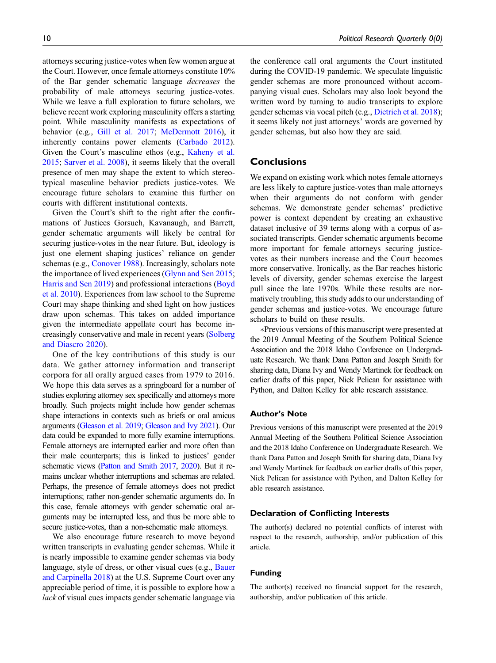attorneys securing justice-votes when few women argue at the Court. However, once female attorneys constitute 10% of the Bar gender schematic language decreases the probability of male attorneys securing justice-votes. While we leave a full exploration to future scholars, we believe recent work exploring masculinity offers a starting point. While masculinity manifests as expectations of behavior (e.g., [Gill et al. 2017](#page-12-28); [McDermott 2016\)](#page-13-13), it inherently contains power elements ([Carbado 2012](#page-11-30)). Given the Court's masculine ethos (e.g., [Kaheny et al.](#page-12-6) [2015;](#page-12-6) [Sarver et al. 2008](#page-13-9)), it seems likely that the overall presence of men may shape the extent to which stereotypical masculine behavior predicts justice-votes. We encourage future scholars to examine this further on courts with different institutional contexts.

Given the Court's shift to the right after the confirmations of Justices Gorsuch, Kavanaugh, and Barrett, gender schematic arguments will likely be central for securing justice-votes in the near future. But, ideology is just one element shaping justices' reliance on gender schemas (e.g., [Conover 1988\)](#page-11-24). Increasingly, scholars note the importance of lived experiences [\(Glynn and Sen 2015](#page-12-19); [Harris and Sen 2019\)](#page-12-14) and professional interactions ([Boyd](#page-11-18) [et al. 2010\)](#page-11-18). Experiences from law school to the Supreme Court may shape thinking and shed light on how justices draw upon schemas. This takes on added importance given the intermediate appellate court has become increasingly conservative and male in recent years ([Solberg](#page-13-34) [and Diascro 2020\)](#page-13-34).

One of the key contributions of this study is our data. We gather attorney information and transcript corpora for all orally argued cases from 1979 to 2016. We hope this data serves as a springboard for a number of studies exploring attorney sex specifically and attorneys more broadly. Such projects might include how gender schemas shape interactions in contexts such as briefs or oral amicus arguments [\(Gleason et al. 2019](#page-12-5); [Gleason and Ivy 2021\)](#page-12-20). Our data could be expanded to more fully examine interruptions. Female attorneys are interrupted earlier and more often than their male counterparts; this is linked to justices' gender schematic views [\(Patton and Smith 2017,](#page-13-4) [2020](#page-13-5)). But it remains unclear whether interruptions and schemas are related. Perhaps, the presence of female attorneys does not predict interruptions; rather non-gender schematic arguments do. In this case, female attorneys with gender schematic oral arguments may be interrupted less, and thus be more able to secure justice-votes, than a non-schematic male attorneys.

We also encourage future research to move beyond written transcripts in evaluating gender schemas. While it is nearly impossible to examine gender schemas via body language, style of dress, or other visual cues (e.g., [Bauer](#page-11-16) [and Carpinella 2018](#page-11-16)) at the U.S. Supreme Court over any appreciable period of time, it is possible to explore how a lack of visual cues impacts gender schematic language via the conference call oral arguments the Court instituted during the COVID-19 pandemic. We speculate linguistic gender schemas are more pronounced without accompanying visual cues. Scholars may also look beyond the written word by turning to audio transcripts to explore gender schemas via vocal pitch (e.g., [Dietrich et al. 2018](#page-11-31)); it seems likely not just attorneys' words are governed by gender schemas, but also how they are said.

# **Conclusions**

We expand on existing work which notes female attorneys are less likely to capture justice-votes than male attorneys when their arguments do not conform with gender schemas. We demonstrate gender schemas' predictive power is context dependent by creating an exhaustive dataset inclusive of 39 terms along with a corpus of associated transcripts. Gender schematic arguments become more important for female attorneys securing justicevotes as their numbers increase and the Court becomes more conservative. Ironically, as the Bar reaches historic levels of diversity, gender schemas exercise the largest pull since the late 1970s. While these results are normatively troubling, this study adds to our understanding of gender schemas and justice-votes. We encourage future scholars to build on these results.

∗Previous versions of this manuscript were presented at the 2019 Annual Meeting of the Southern Political Science Association and the 2018 Idaho Conference on Undergraduate Research. We thank Dana Patton and Joseph Smith for sharing data, Diana Ivy and Wendy Martinek for feedback on earlier drafts of this paper, Nick Pelican for assistance with Python, and Dalton Kelley for able research assistance.

## Author's Note

Previous versions of this manuscript were presented at the 2019 Annual Meeting of the Southern Political Science Association and the 2018 Idaho Conference on Undergraduate Research. We thank Dana Patton and Joseph Smith for sharing data, Diana Ivy and Wendy Martinek for feedback on earlier drafts of this paper, Nick Pelican for assistance with Python, and Dalton Kelley for able research assistance.

#### Declaration of Conflicting Interests

The author(s) declared no potential conflicts of interest with respect to the research, authorship, and/or publication of this article.

### Funding

The author(s) received no financial support for the research, authorship, and/or publication of this article.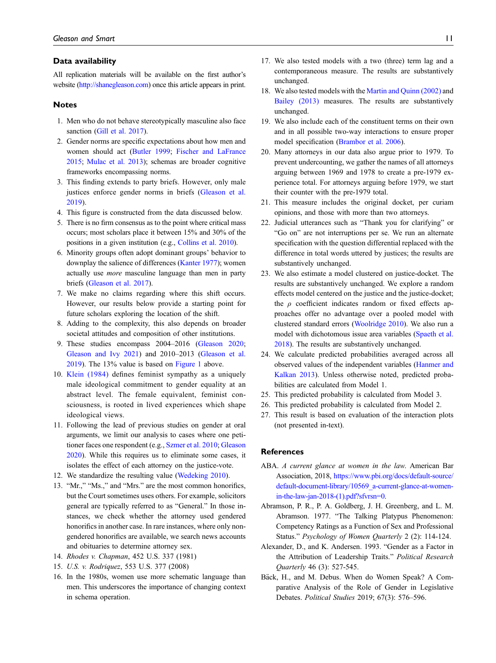#### Data availability

All replication materials will be available on the first author's website [\(http://shanegleason.com\)](http://shanegleason.com) once this article appears in print.

#### Notes

- <span id="page-10-1"></span>1. Men who do not behave stereotypically masculine also face sanction [\(Gill et al. 2017\)](#page-12-28).
- <span id="page-10-2"></span>2. Gender norms are specific expectations about how men and women should act [\(Butler 1999;](#page-11-32) [Fischer and LaFrance](#page-11-33) [2015](#page-11-33); [Mulac et al. 2013](#page-13-35)); schemas are broader cognitive frameworks encompassing norms.
- <span id="page-10-3"></span>3. This finding extends to party briefs. However, only male justices enforce gender norms in briefs [\(Gleason et al.](#page-12-5) [2019\)](#page-12-5).
- <span id="page-10-6"></span><span id="page-10-5"></span>4. This figure is constructed from the data discussed below.
- 5. There is no firm consensus as to the point where critical mass occurs; most scholars place it between 15% and 30% of the positions in a given institution (e.g., [Collins et al. 2010\)](#page-11-17).
- <span id="page-10-9"></span>6. Minority groups often adopt dominant groups' behavior to downplay the salience of differences [\(Kanter 1977](#page-12-9)); women actually use more masculine language than men in party briefs [\(Gleason et al. 2017](#page-12-29)).
- <span id="page-10-10"></span>7. We make no claims regarding where this shift occurs. However, our results below provide a starting point for future scholars exploring the location of the shift.
- <span id="page-10-11"></span>8. Adding to the complexity, this also depends on broader societal attitudes and composition of other institutions.
- <span id="page-10-12"></span>9. These studies encompass 2004–2016 ([Gleason 2020](#page-12-2); [Gleason and Ivy 2021](#page-12-20)) and 2010–2013 ([Gleason et al.](#page-12-5) [2019](#page-12-5)). The 13% value is based on [Figure 1](#page-2-0) above.
- <span id="page-10-13"></span>10. [Klein \(1984\)](#page-13-18) defines feminist sympathy as a uniquely male ideological commitment to gender equality at an abstract level. The female equivalent, feminist consciousness, is rooted in lived experiences which shape ideological views.
- <span id="page-10-14"></span>11. Following the lead of previous studies on gender at oral arguments, we limit our analysis to cases where one petitioner faces one respondent (e.g., [Szmer et al. 2010;](#page-14-2) [Gleason](#page-12-2) [2020](#page-12-2)). While this requires us to eliminate some cases, it isolates the effect of each attorney on the justice-vote.
- <span id="page-10-15"></span>12. We standardize the resulting value [\(Wedeking 2010](#page-14-10)).
- <span id="page-10-16"></span>13. "Mr.," "Ms.," and "Mrs." are the most common honorifics, but the Court sometimes uses others. For example, solicitors general are typically referred to as "General." In those instances, we check whether the attorney used gendered honorifics in another case. In rare instances, where only nongendered honorifics are available, we search news accounts and obituaries to determine attorney sex.
- <span id="page-10-17"></span>14. Rhodes v. Chapman, 452 U.S. 337 (1981)
- <span id="page-10-18"></span>15. U.S. v. Rodriquez, 553 U.S. 377 (2008)
- <span id="page-10-19"></span>16. In the 1980s, women use more schematic language than men. This underscores the importance of changing context in schema operation.
- <span id="page-10-20"></span>17. We also tested models with a two (three) term lag and a contemporaneous measure. The results are substantively unchanged.
- <span id="page-10-21"></span>18. We also tested models with the [Martin and Quinn \(2002\)](#page-13-36) and [Bailey \(2013\)](#page-11-34) measures. The results are substantively unchanged.
- <span id="page-10-22"></span>19. We also include each of the constituent terms on their own and in all possible two-way interactions to ensure proper model specification ([Brambor et al. 2006\)](#page-11-29).
- <span id="page-10-23"></span>20. Many attorneys in our data also argue prior to 1979. To prevent undercounting, we gather the names of all attorneys arguing between 1969 and 1978 to create a pre-1979 experience total. For attorneys arguing before 1979, we start their counter with the pre-1979 total.
- <span id="page-10-24"></span>21. This measure includes the original docket, per curiam opinions, and those with more than two attorneys.
- <span id="page-10-25"></span>22. Judicial utterances such as "Thank you for clarifying" or "Go on" are not interruptions per se. We run an alternate specification with the question differential replaced with the difference in total words uttered by justices; the results are substantively unchanged.
- <span id="page-10-26"></span>23. We also estimate a model clustered on justice-docket. The results are substantively unchanged. We explore a random effects model centered on the justice and the justice-docket; the  $\rho$  coefficient indicates random or fixed effects approaches offer no advantage over a pooled model with clustered standard errors ([Woolridge 2010](#page-14-11)). We also run a model with dichotomous issue area variables ([Spaeth et al.](#page-13-27) [2018\)](#page-13-27). The results are substantively unchanged.
- <span id="page-10-27"></span>24. We calculate predicted probabilities averaged across all observed values of the independent variables ([Hanmer and](#page-12-30) [Kalkan 2013\)](#page-12-30). Unless otherwise noted, predicted probabilities are calculated from Model 1.
- <span id="page-10-29"></span><span id="page-10-28"></span>25. This predicted probability is calculated from Model 3.
- <span id="page-10-30"></span>26. This predicted probability is calculated from Model 2.
- 27. This result is based on evaluation of the interaction plots (not presented in-text).

#### References

- <span id="page-10-4"></span>ABA. A current glance at women in the law. American Bar Association, 2018, [https://www.pbi.org/docs/default-source/](https://www.pbi.org/docs/default-source/default-document-library/10569_a-current-glance-at-women-in-the-law-jan-2018-(1).pdf?sfvrsn=0) [default-document-library/10569\\_a-current-glance-at-women](https://www.pbi.org/docs/default-source/default-document-library/10569_a-current-glance-at-women-in-the-law-jan-2018-(1).pdf?sfvrsn=0)[in-the-law-jan-2018-\(1\).pdf?sfvrsn=0.](https://www.pbi.org/docs/default-source/default-document-library/10569_a-current-glance-at-women-in-the-law-jan-2018-(1).pdf?sfvrsn=0)
- <span id="page-10-8"></span>Abramson, P. R., P. A. Goldberg, J. H. Greenberg, and L. M. Abramson. 1977. "The Talking Platypus Phenomenon: Competency Ratings as a Function of Sex and Professional Status." Psychology of Women Quarterly 2 (2): 114-124.
- <span id="page-10-0"></span>Alexander, D., and K. Andersen. 1993. "Gender as a Factor in the Attribution of Leadership Traits." Political Research Quarterly 46 (3): 527-545.
- <span id="page-10-7"></span>Bäck, H., and M. Debus. When do Women Speak? A Comparative Analysis of the Role of Gender in Legislative Debates. Political Studies 2019; 67(3): 576–596.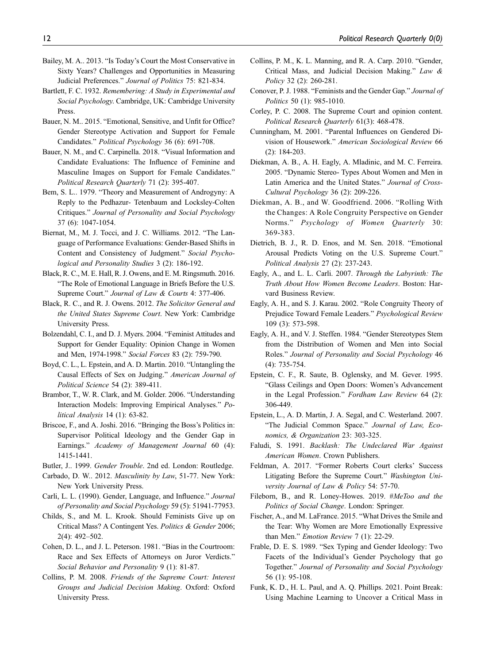- <span id="page-11-34"></span>Bailey, M. A.. 2013. "Is Today's Court the Most Conservative in Sixty Years? Challenges and Opportunities in Measuring Judicial Preferences." Journal of Politics 75: 821-834.
- <span id="page-11-8"></span>Bartlett, F. C. 1932. Remembering: A Study in Experimental and Social Psychology. Cambridge, UK: Cambridge University Press.
- <span id="page-11-5"></span>Bauer, N. M.. 2015. "Emotional, Sensitive, and Unfit for Office? Gender Stereotype Activation and Support for Female Candidates." Political Psychology 36 (6): 691-708.
- <span id="page-11-16"></span>Bauer, N. M., and C. Carpinella. 2018. "Visual Information and Candidate Evaluations: The Influence of Feminine and Masculine Images on Support for Female Candidates." Political Research Quarterly 71 (2): 395-407.
- <span id="page-11-2"></span>Bem, S. L.. 1979. "Theory and Measurement of Androgyny: A Reply to the Pedhazur- Tetenbaum and Locksley-Colten Critiques." Journal of Personality and Social Psychology 37 (6): 1047-1054.
- <span id="page-11-21"></span>Biernat, M., M. J. Tocci, and J. C. Williams. 2012. "The Language of Performance Evaluations: Gender-Based Shifts in Content and Consistency of Judgment." Social Psychological and Personality Studies 3 (2): 186-192.
- <span id="page-11-7"></span>Black, R. C., M. E. Hall, R. J. Owens, and E. M. Ringsmuth. 2016. "The Role of Emotional Language in Briefs Before the U.S. Supreme Court." Journal of Law & Courts 4: 377-406.
- <span id="page-11-11"></span>Black, R. C., and R. J. Owens. 2012. The Solicitor General and the United States Supreme Court. New York: Cambridge University Press.
- <span id="page-11-6"></span>Bolzendahl, C. I., and D. J. Myers. 2004. "Feminist Attitudes and Support for Gender Equality: Opinion Change in Women and Men, 1974-1998." Social Forces 83 (2): 759-790.
- <span id="page-11-18"></span>Boyd, C. L., L. Epstein, and A. D. Martin. 2010. "Untangling the Causal Effects of Sex on Judging." American Journal of Political Science 54 (2): 389-411.
- <span id="page-11-29"></span>Brambor, T., W. R. Clark, and M. Golder. 2006. "Understanding Interaction Models: Improving Empirical Analyses." Political Analysis 14 (1): 63-82.
- <span id="page-11-25"></span>Briscoe, F., and A. Joshi. 2016. "Bringing the Boss's Politics in: Supervisor Political Ideology and the Gender Gap in Earnings." Academy of Management Journal 60 (4): 1415-1441.
- <span id="page-11-32"></span><span id="page-11-30"></span>Butler, J.. 1999. Gender Trouble. 2nd ed. London: Routledge.
- Carbado, D. W.. 2012. Masculinity by Law, 51-77. New York: New York University Press.
- <span id="page-11-13"></span>Carli, L. L. (1990). Gender, Language, and Influence." Journal of Personality and Social Psychology 59 (5): 51941-77953.
- <span id="page-11-19"></span>Childs, S., and M. L. Krook. Should Feminists Give up on Critical Mass? A Contingent Yes. Politics & Gender 2006; 2(4): 492–502.
- <span id="page-11-20"></span>Cohen, D. L., and J. L. Peterson. 1981. "Bias in the Courtroom: Race and Sex Effects of Attorneys on Juror Verdicts." Social Behavior and Personality 9 (1): 81-87.
- <span id="page-11-28"></span>Collins, P. M. 2008. Friends of the Supreme Court: Interest Groups and Judicial Decision Making. Oxford: Oxford University Press.
- <span id="page-11-17"></span>Collins, P. M., K. L. Manning, and R. A. Carp. 2010. "Gender, Critical Mass, and Judicial Decision Making." Law & Policy 32 (2): 260-281.
- <span id="page-11-24"></span>Conover, P. J. 1988. "Feminists and the Gender Gap." Journal of Politics 50 (1): 985-1010.
- Corley, P. C. 2008. The Supreme Court and opinion content. Political Research Quarterly 61(3): 468-478.
- <span id="page-11-12"></span>Cunningham, M. 2001. "Parental Influences on Gendered Division of Housework." American Sociological Review 66 (2): 184-203.
- <span id="page-11-9"></span>Diekman, A. B., A. H. Eagly, A. Mladinic, and M. C. Ferreira. 2005. "Dynamic Stereo- Types About Women and Men in Latin America and the United States." Journal of Cross-Cultural Psychology 36 (2): 209-226.
- <span id="page-11-22"></span>Diekman, A. B., and W. Goodfriend. 2006. "Rolling With the Changes: A Role Congruity Perspective on Gender Norms." Psychology of Women Quarterly 30: 369-383.
- <span id="page-11-31"></span>Dietrich, B. J., R. D. Enos, and M. Sen. 2018. "Emotional Arousal Predicts Voting on the U.S. Supreme Court." Political Analysis 27 (2): 237-243.
- <span id="page-11-26"></span>Eagly, A., and L. L. Carli. 2007. Through the Labyrinth: The Truth About How Women Become Leaders. Boston: Harvard Business Review.
- <span id="page-11-15"></span>Eagly, A. H., and S. J. Karau. 2002. "Role Congruity Theory of Prejudice Toward Female Leaders." Psychological Review 109 (3): 573-598.
- <span id="page-11-23"></span>Eagly, A. H., and V. J. Steffen. 1984. "Gender Stereotypes Stem from the Distribution of Women and Men into Social Roles." Journal of Personality and Social Psychology 46 (4): 735-754.
- <span id="page-11-3"></span>Epstein, C. F., R. Saute, B. Oglensky, and M. Gever. 1995. "Glass Ceilings and Open Doors: Women's Advancement in the Legal Profession." Fordham Law Review 64 (2): 306-449.
- <span id="page-11-27"></span>Epstein, L., A. D. Martin, J. A. Segal, and C. Westerland. 2007. "The Judicial Common Space." Journal of Law, Economics, & Organization 23: 303-325.
- <span id="page-11-0"></span>Faludi, S. 1991. Backlash: The Undeclared War Against American Women. Crown Publishers.
- <span id="page-11-10"></span>Feldman, A. 2017. "Former Roberts Court clerks' Success Litigating Before the Supreme Court." Washington University Journal of Law & Policy 54: 57-70.
- <span id="page-11-1"></span>Fileborn, B., and R. Loney-Howes. 2019. #MeToo and the Politics of Social Change. London: Springer.
- <span id="page-11-33"></span>Fischer, A., and M. LaFrance. 2015. "What Drives the Smile and the Tear: Why Women are More Emotionally Expressive than Men." Emotion Review 7 (1): 22-29.
- <span id="page-11-14"></span>Frable, D. E. S. 1989. "Sex Typing and Gender Ideology: Two Facets of the Individual's Gender Psychology that go Together." Journal of Personality and Social Psychology 56 (1): 95-108.
- <span id="page-11-4"></span>Funk, K. D., H. L. Paul, and A. Q. Phillips. 2021. Point Break: Using Machine Learning to Uncover a Critical Mass in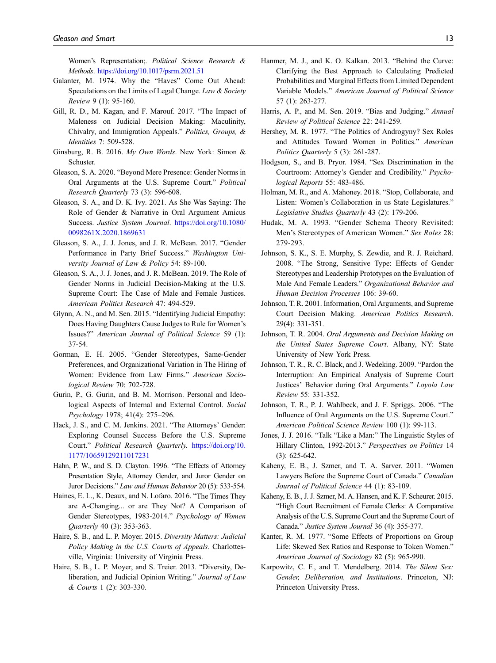Women's Representation;. Political Science Research & Methods. <https://doi.org/10.1017/psrm.2021.51>

- <span id="page-12-27"></span>Galanter, M. 1974. Why the "Haves" Come Out Ahead: Speculations on the Limits of Legal Change. Law & Society Review 9 (1): 95-160.
- <span id="page-12-28"></span>Gill, R. D., M. Kagan, and F. Marouf. 2017. "The Impact of Maleness on Judicial Decision Making: Maculinity, Chivalry, and Immigration Appeals." Politics, Groups, & Identities 7: 509-528.
- <span id="page-12-0"></span>Ginsburg, R. B. 2016. My Own Words. New York: Simon & Schuster.
- <span id="page-12-2"></span>Gleason, S. A. 2020. "Beyond Mere Presence: Gender Norms in Oral Arguments at the U.S. Supreme Court." Political Research Quarterly 73 (3): 596-608.
- <span id="page-12-20"></span>Gleason, S. A., and D. K. Ivy. 2021. As She Was Saying: The Role of Gender & Narrative in Oral Argument Amicus Success. Justice System Journal. [https://doi.org/10.1080/](https://doi.org/10.1080/0098261X.2020.1869631) [0098261X.2020.1869631](https://doi.org/10.1080/0098261X.2020.1869631)
- <span id="page-12-29"></span>Gleason, S. A., J. J. Jones, and J. R. McBean. 2017. "Gender Performance in Party Brief Success." Washington University Journal of Law & Policy 54: 89-100.
- <span id="page-12-5"></span>Gleason, S. A., J. J. Jones, and J. R. McBean. 2019. The Role of Gender Norms in Judicial Decision-Making at the U.S. Supreme Court: The Case of Male and Female Justices. American Politics Research 47: 494-529.
- <span id="page-12-19"></span>Glynn, A. N., and M. Sen. 2015. "Identifying Judicial Empathy: Does Having Daughters Cause Judges to Rule for Women's Issues?" American Journal of Political Science 59 (1): 37-54.
- <span id="page-12-4"></span>Gorman, E. H. 2005. "Gender Stereotypes, Same-Gender Preferences, and Organizational Variation in The Hiring of Women: Evidence from Law Firms." American Sociological Review 70: 702-728.
- <span id="page-12-24"></span>Gurin, P., G. Gurin, and B. M. Morrison. Personal and Ideological Aspects of Internal and External Control. Social Psychology 1978; 41(4): 275–296.
- <span id="page-12-7"></span>Hack, J. S., and C. M. Jenkins. 2021. "The Attorneys' Gender: Exploring Counsel Success Before the U.S. Supreme Court." Political Research Quarterly. [https://doi.org/10.](https://doi.org/10.1177/10659129211017231) [1177/10659129211017231](https://doi.org/10.1177/10659129211017231)
- <span id="page-12-17"></span>Hahn, P. W., and S. D. Clayton. 1996. "The Effects of Attorney Presentation Style, Attorney Gender, and Juror Gender on Juror Decisions." Law and Human Behavior 20 (5): 533-554.
- <span id="page-12-12"></span>Haines, E. L., K. Deaux, and N. Lofaro. 2016. "The Times They are A-Changing... or are They Not? A Comparison of Gender Stereotypes, 1983-2014." Psychology of Women Quarterly 40 (3): 353-363.
- <span id="page-12-1"></span>Haire, S. B., and L. P. Moyer. 2015. Diversity Matters: Judicial Policy Making in the U.S. Courts of Appeals. Charlottesville, Virginia: University of Virginia Press.
- <span id="page-12-22"></span>Haire, S. B., L. P. Moyer, and S. Treier. 2013. "Diversity, Deliberation, and Judicial Opinion Writing." Journal of Law & Courts 1 (2): 303-330.
- <span id="page-12-30"></span>Hanmer, M. J., and K. O. Kalkan. 2013. "Behind the Curve: Clarifying the Best Approach to Calculating Predicted Probabilities and Marginal Effects from Limited Dependent Variable Models." American Journal of Political Science 57 (1): 263-277.
- <span id="page-12-14"></span>Harris, A. P., and M. Sen. 2019. "Bias and Judging." Annual Review of Political Science 22: 241-259.
- <span id="page-12-15"></span>Hershey, M. R. 1977. "The Politics of Androgyny? Sex Roles and Attitudes Toward Women in Politics." American Politics Quarterly 5 (3): 261-287.
- <span id="page-12-18"></span>Hodgson, S., and B. Pryor. 1984. "Sex Discrimination in the Courtroom: Attorney's Gender and Credibility." Psychological Reports 55: 483-486.
- <span id="page-12-21"></span>Holman, M. R., and A. Mahoney. 2018. "Stop, Collaborate, and Listen: Women's Collaboration in us State Legislatures." Legislative Studies Quarterly 43 (2): 179-206.
- <span id="page-12-3"></span>Hudak, M. A. 1993. "Gender Schema Theory Revisited: Men's Stereotypes of American Women." Sex Roles 28: 279-293.
- <span id="page-12-16"></span>Johnson, S. K., S. E. Murphy, S. Zewdie, and R. J. Reichard. 2008. "The Strong, Sensitive Type: Effects of Gender Stereotypes and Leadership Prototypes on the Evaluation of Male And Female Leaders." Organizational Behavior and Human Decision Processes 106: 39-60.
- <span id="page-12-10"></span>Johnson, T. R. 2001. Information, Oral Arguments, and Supreme Court Decision Making. American Politics Research. 29(4): 331-351.
- <span id="page-12-11"></span>Johnson, T. R. 2004. Oral Arguments and Decision Making on the United States Supreme Court. Albany, NY: State University of New York Press.
- <span id="page-12-26"></span>Johnson, T. R., R. C. Black, and J. Wedeking. 2009. "Pardon the Interruption: An Empirical Analysis of Supreme Court Justices' Behavior during Oral Arguments." Loyola Law Review 55: 331-352.
- <span id="page-12-13"></span>Johnson, T. R., P. J. Wahlbeck, and J. F. Spriggs. 2006. "The Influence of Oral Arguments on the U.S. Supreme Court." American Political Science Review 100 (1): 99-113.
- <span id="page-12-25"></span>Jones, J. J. 2016. "Talk "Like a Man:" The Linguistic Styles of Hillary Clinton, 1992-2013." Perspectives on Politics 14 (3): 625-642.
- <span id="page-12-8"></span>Kaheny, E. B., J. Szmer, and T. A. Sarver. 2011. "Women Lawyers Before the Supreme Court of Canada." Canadian Journal of Political Science 44 (1): 83-109.
- <span id="page-12-6"></span>Kaheny, E. B., J. J. Szmer, M. A. Hansen, and K. F. Scheurer. 2015. "High Court Recruitment of Female Clerks: A Comparative Analysis of the U.S. Supreme Court and the Supreme Court of Canada." Justice System Journal 36 (4): 355-377.
- <span id="page-12-9"></span>Kanter, R. M. 1977. "Some Effects of Proportions on Group Life: Skewed Sex Ratios and Response to Token Women." American Journal of Sociology 82 (5): 965-990.
- <span id="page-12-23"></span>Karpowitz, C. F., and T. Mendelberg. 2014. The Silent Sex: Gender, Deliberation, and Institutions. Princeton, NJ: Princeton University Press.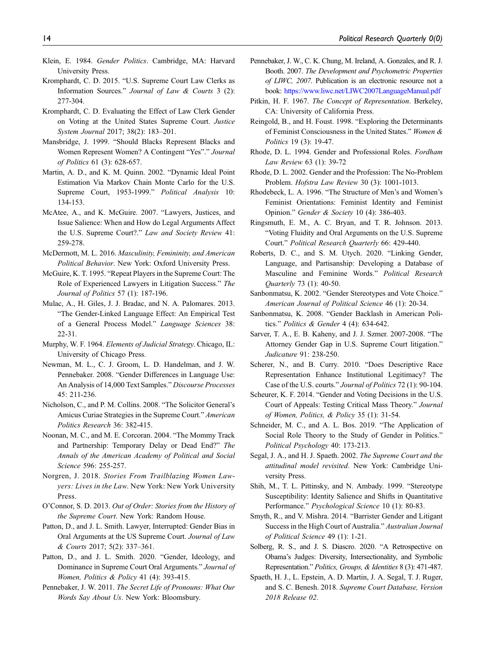- <span id="page-13-18"></span>Klein, E. 1984. Gender Politics. Cambridge, MA: Harvard University Press.
- <span id="page-13-31"></span>Kromphardt, C. D. 2015. "U.S. Supreme Court Law Clerks as Information Sources." Journal of Law & Courts 3 (2): 277-304.
- <span id="page-13-33"></span>Kromphardt, C. D. Evaluating the Effect of Law Clerk Gender on Voting at the United States Supreme Court. Justice System Journal 2017; 38(2): 183–201.
- <span id="page-13-10"></span>Mansbridge, J. 1999. "Should Blacks Represent Blacks and Women Represent Women? A Contingent "Yes"." Journal of Politics 61 (3): 628-657.
- <span id="page-13-36"></span>Martin, A. D., and K. M. Quinn. 2002. "Dynamic Ideal Point Estimation Via Markov Chain Monte Carlo for the U.S. Supreme Court, 1953-1999." Political Analysis 10: 134-153.
- <span id="page-13-15"></span>McAtee, A., and K. McGuire. 2007. "Lawyers, Justices, and Issue Salience: When and How do Legal Arguments Affect the U.S. Supreme Court?." Law and Society Review 41: 259-278.
- <span id="page-13-13"></span>McDermott, M. L. 2016. Masculinity, Femininity, and American Political Behavior. New York: Oxford University Press.
- <span id="page-13-16"></span>McGuire, K. T. 1995. "Repeat Players in the Supreme Court: The Role of Experienced Lawyers in Litigation Success." The Journal of Politics 57 (1): 187-196.
- <span id="page-13-35"></span>Mulac, A., H. Giles, J. J. Bradac, and N. A. Palomares. 2013. "The Gender-Linked Language Effect: An Empirical Test of a General Process Model." Language Sciences 38: 22-31.
- <span id="page-13-21"></span>Murphy, W. F. 1964. Elements of Judicial Strategy. Chicago, IL: University of Chicago Press.
- <span id="page-13-29"></span>Newman, M. L., C. J. Groom, L. D. Handelman, and J. W. Pennebaker. 2008. "Gender Differences in Language Use: An Analysis of 14,000 Text Samples." Discourse Processes 45: 211-236.
- <span id="page-13-32"></span>Nicholson, C., and P. M. Collins. 2008. "The Solicitor General's Amicus Curiae Strategies in the Supreme Court." American Politics Research 36: 382-415.
- <span id="page-13-3"></span>Noonan, M. C., and M. E. Corcoran. 2004. "The Mommy Track and Partnership: Temporary Delay or Dead End?" The Annals of the American Academy of Political and Social Science 596: 255-257.
- <span id="page-13-0"></span>Norgren, J. 2018. Stories From Trailblazing Women Lawyers: Lives in the Law. New York: New York University Press.
- <span id="page-13-17"></span>O'Connor, S. D. 2013. Out of Order: Stories from the History of the Supreme Court. New York: Random House.
- <span id="page-13-4"></span>Patton, D., and J. L. Smith. Lawyer, Interrupted: Gender Bias in Oral Arguments at the US Supreme Court. Journal of Law & Courts 2017; 5(2): 337–361.
- <span id="page-13-5"></span>Patton, D., and J. L. Smith. 2020. "Gender, Ideology, and Dominance in Supreme Court Oral Arguments." Journal of Women, Politics & Policy 41 (4): 393-415.
- <span id="page-13-30"></span>Pennebaker, J. W. 2011. The Secret Life of Pronouns: What Our Words Say About Us. New York: Bloomsbury.
- <span id="page-13-28"></span>Pennebaker, J. W., C. K. Chung, M. Ireland, A. Gonzales, and R. J. Booth. 2007. The Development and Psychometric Properties of LIWC, 2007. Publication is an electronic resource not a book: <https://www.liwc.net/LIWC2007LanguageManual.pdf>
- <span id="page-13-11"></span>Pitkin, H. F. 1967. The Concept of Representation. Berkeley, CA: University of California Press.
- <span id="page-13-24"></span>Reingold, B., and H. Foust. 1998. "Exploring the Determinants of Feminist Consciousness in the United States." Women & Politics 19 (3): 19-47.
- <span id="page-13-8"></span>Rhode, D. L. 1994. Gender and Professional Roles. Fordham Law Review 63 (1): 39-72
- <span id="page-13-2"></span>Rhode, D. L. 2002. Gender and the Profession: The No-Problem Problem. Hofstra Law Review 30 (3): 1001-1013.
- <span id="page-13-25"></span>Rhodebeck, L. A. 1996. "The Structure of Men's and Women's Feminist Orientations: Feminist Identity and Feminist Opinion." Gender & Society 10 (4): 386-403.
- <span id="page-13-14"></span>Ringsmuth, E. M., A. C. Bryan, and T. R. Johnson. 2013. "Voting Fluidity and Oral Arguments on the U.S. Supreme Court." Political Research Quarterly 66: 429-440.
- <span id="page-13-26"></span>Roberts, D. C., and S. M. Utych. 2020. "Linking Gender, Language, and Partisanship: Developing a Database of Masculine and Feminine Words." Political Research Quarterly 73 (1): 40-50.
- <span id="page-13-6"></span>Sanbonmatsu, K. 2002. "Gender Stereotypes and Vote Choice." American Journal of Political Science 46 (1): 20-34.
- <span id="page-13-7"></span>Sanbonmatsu, K. 2008. "Gender Backlash in American Politics." Politics & Gender 4 (4): 634-642.
- <span id="page-13-9"></span>Sarver, T. A., E. B. Kaheny, and J. J. Szmer. 2007-2008. "The Attorney Gender Gap in U.S. Supreme Court litigation." Judicature 91: 238-250.
- <span id="page-13-12"></span>Scherer, N., and B. Curry. 2010. "Does Descriptive Race Representation Enhance Institutional Legitimacy? The Case of the U.S. courts." Journal of Politics 72 (1): 90-104.
- <span id="page-13-22"></span>Scheurer, K. F. 2014. "Gender and Voting Decisions in the U.S. Court of Appeals: Testing Critical Mass Theory." Journal of Women, Politics, & Policy 35 (1): 31-54.
- <span id="page-13-1"></span>Schneider, M. C., and A. L. Bos. 2019. "The Application of Social Role Theory to the Study of Gender in Politics." Political Psychology 40: 173-213.
- <span id="page-13-23"></span>Segal, J. A., and H. J. Spaeth. 2002. The Supreme Court and the attitudinal model revisited. New York: Cambridge University Press.
- <span id="page-13-20"></span>Shih, M., T. L. Pittinsky, and N. Ambady. 1999. "Stereotype Susceptibility: Identity Salience and Shifts in Quantitative Performance." Psychological Science 10 (1): 80-83.
- <span id="page-13-19"></span>Smyth, R., and V. Mishra. 2014. "Barrister Gender and Litigant Success in the High Court of Australia." Australian Journal of Political Science 49 (1): 1-21.
- <span id="page-13-34"></span>Solberg, R. S., and J. S. Diascro. 2020. "A Retrospective on Obama's Judges: Diversity, Intersectionality, and Symbolic Representation." Politics, Groups, & Identities 8 (3): 471-487.
- <span id="page-13-27"></span>Spaeth, H. J., L. Epstein, A. D. Martin, J. A. Segal, T. J. Ruger, and S. C. Benesh. 2018. Supreme Court Database, Version 2018 Release 02.